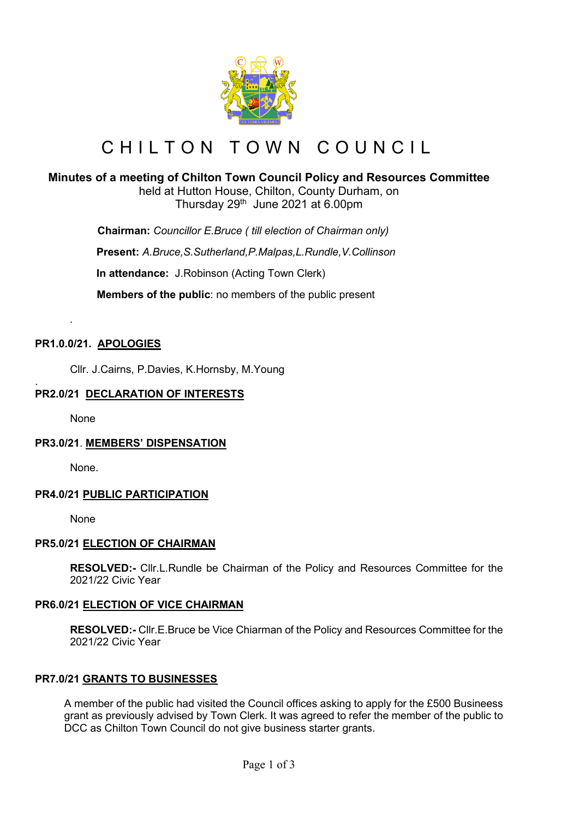

# CHILTON TOWN COUNCIL

# **Minutes of a meeting of Chilton Town Council Policy and Resources Committee**

held at Hutton House, Chilton, County Durham, on Thursday  $29<sup>th</sup>$  June 2021 at 6.00pm

 **Chairman:** *Councillor E.Bruce ( till election of Chairman only)*

**Present:** *A.Bruce,S.Sutherland,P.Malpas,L.Rundle,V.Collinson*

**In attendance:** J.Robinson (Acting Town Clerk)

 **Members of the public**: no members of the public present

# **PR1.0.0/21. APOLOGIES**

Cllr. J.Cairns, P.Davies, K.Hornsby, M.Young

#### . **PR2.0/21 DECLARATION OF INTERESTS**

None

*.*

# **PR3.0/21**. **MEMBERS' DISPENSATION**

None.

# **PR4.0/21 PUBLIC PARTICIPATION**

None

# **PR5.0/21 ELECTION OF CHAIRMAN**

**RESOLVED:-** Cllr.L.Rundle be Chairman of the Policy and Resources Committee for the 2021/22 Civic Year

# **PR6.0/21 ELECTION OF VICE CHAIRMAN**

**RESOLVED:-** Cllr.E.Bruce be Vice Chiarman of the Policy and Resources Committee for the 2021/22 Civic Year

# **PR7.0/21 GRANTS TO BUSINESSES**

A member of the public had visited the Council offices asking to apply for the £500 Busineess grant as previously advised by Town Clerk. It was agreed to refer the member of the public to DCC as Chilton Town Council do not give business starter grants.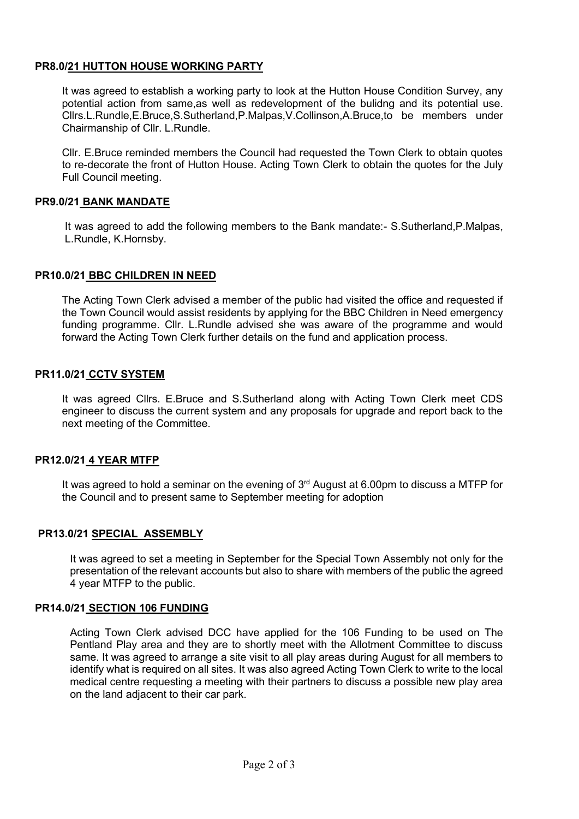# **PR8.0/21 HUTTON HOUSE WORKING PARTY**

It was agreed to establish a working party to look at the Hutton House Condition Survey, any potential action from same,as well as redevelopment of the bulidng and its potential use. Cllrs.L.Rundle,E.Bruce,S.Sutherland,P.Malpas,V.Collinson,A.Bruce,to be members under Chairmanship of Cllr. L.Rundle.

Cllr. E.Bruce reminded members the Council had requested the Town Clerk to obtain quotes to re-decorate the front of Hutton House. Acting Town Clerk to obtain the quotes for the July Full Council meeting.

## **PR9.0/21 BANK MANDATE**

It was agreed to add the following members to the Bank mandate:- S.Sutherland,P.Malpas, L.Rundle, K.Hornsby.

#### **PR10.0/21 BBC CHILDREN IN NEED**

The Acting Town Clerk advised a member of the public had visited the office and requested if the Town Council would assist residents by applying for the BBC Children in Need emergency funding programme. Cllr. L.Rundle advised she was aware of the programme and would forward the Acting Town Clerk further details on the fund and application process.

#### **PR11.0/21 CCTV SYSTEM**

It was agreed Cllrs. E.Bruce and S.Sutherland along with Acting Town Clerk meet CDS engineer to discuss the current system and any proposals for upgrade and report back to the next meeting of the Committee.

# **PR12.0/21 4 YEAR MTFP**

It was agreed to hold a seminar on the evening of  $3<sup>rd</sup>$  August at 6.00pm to discuss a MTFP for the Council and to present same to September meeting for adoption

# **PR13.0/21 SPECIAL ASSEMBLY**

It was agreed to set a meeting in September for the Special Town Assembly not only for the presentation of the relevant accounts but also to share with members of the public the agreed 4 year MTFP to the public.

#### **PR14.0/21 SECTION 106 FUNDING**

Acting Town Clerk advised DCC have applied for the 106 Funding to be used on The Pentland Play area and they are to shortly meet with the Allotment Committee to discuss same. It was agreed to arrange a site visit to all play areas during August for all members to identify what is required on all sites. It was also agreed Acting Town Clerk to write to the local medical centre requesting a meeting with their partners to discuss a possible new play area on the land adjacent to their car park.